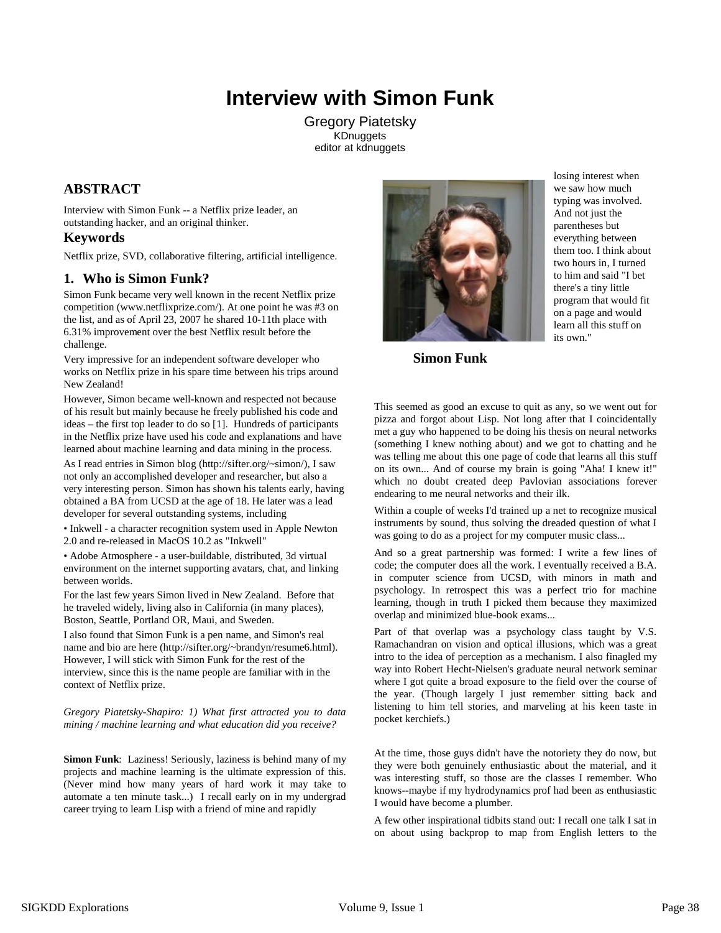# **Interview with Simon Funk**

Gregory Piatetsky **KDnuggets** editor at kdnuggets

## **ABSTRACT**

Interview with Simon Funk -- a Netflix prize leader, an outstanding hacker, and an original thinker.

## **Keywords**

Netflix prize, SVD, collaborative filtering, artificial intelligence.

## **1. Who is Simon Funk?**

Simon Funk became very well known in the recent Netflix prize competition (www.netflixprize.com/). At one point he was #3 on the list, and as of April 23, 2007 he shared 10-11th place with 6.31% improvement over the best Netflix result before the challenge.

Very impressive for an independent software developer who works on Netflix prize in his spare time between his trips around New Zealand!

However, Simon became well-known and respected not because of his result but mainly because he freely published his code and ideas – the first top leader to do so [1]. Hundreds of participants in the Netflix prize have used his code and explanations and have learned about machine learning and data mining in the process.

As I read entries in Simon blog (http://sifter.org/~simon/), I saw not only an accomplished developer and researcher, but also a very interesting person. Simon has shown his talents early, having obtained a BA from UCSD at the age of 18. He later was a lead developer for several outstanding systems, including

• Inkwell - a character recognition system used in Apple Newton 2.0 and re-released in MacOS 10.2 as "Inkwell"

• Adobe Atmosphere - a user-buildable, distributed, 3d virtual environment on the internet supporting avatars, chat, and linking between worlds.

For the last few years Simon lived in New Zealand. Before that he traveled widely, living also in California (in many places), Boston, Seattle, Portland OR, Maui, and Sweden.

I also found that Simon Funk is a pen name, and Simon's real name and bio are here (http://sifter.org/~brandyn/resume6.html). However, I will stick with Simon Funk for the rest of the interview, since this is the name people are familiar with in the context of Netflix prize.

*Gregory Piatetsky-Shapiro: 1) What first attracted you to data mining / machine learning and what education did you receive?*

**Simon Funk**: Laziness! Seriously, laziness is behind many of my projects and machine learning is the ultimate expression of this. (Never mind how many years of hard work it may take to automate a ten minute task...) I recall early on in my undergrad career trying to learn Lisp with a friend of mine and rapidly



losing interest when we saw how much typing was involved. And not just the parentheses but everything between them too. I think about two hours in, I turned to him and said "I bet there's a tiny little program that would fit on a page and would learn all this stuff on its own."

 **Simon Funk**

This seemed as good an excuse to quit as any, so we went out for pizza and forgot about Lisp. Not long after that I coincidentally met a guy who happened to be doing his thesis on neural networks (something I knew nothing about) and we got to chatting and he was telling me about this one page of code that learns all this stuff on its own... And of course my brain is going "Aha! I knew it!" which no doubt created deep Pavlovian associations forever endearing to me neural networks and their ilk.

Within a couple of weeks I'd trained up a net to recognize musical instruments by sound, thus solving the dreaded question of what I was going to do as a project for my computer music class...

And so a great partnership was formed: I write a few lines of code; the computer does all the work. I eventually received a B.A. in computer science from UCSD, with minors in math and psychology. In retrospect this was a perfect trio for machine learning, though in truth I picked them because they maximized overlap and minimized blue-book exams...

Part of that overlap was a psychology class taught by V.S. Ramachandran on vision and optical illusions, which was a great intro to the idea of perception as a mechanism. I also finagled my way into Robert Hecht-Nielsen's graduate neural network seminar where I got quite a broad exposure to the field over the course of the year. (Though largely I just remember sitting back and listening to him tell stories, and marveling at his keen taste in pocket kerchiefs.)

At the time, those guys didn't have the notoriety they do now, but they were both genuinely enthusiastic about the material, and it was interesting stuff, so those are the classes I remember. Who knows--maybe if my hydrodynamics prof had been as enthusiastic I would have become a plumber.

A few other inspirational tidbits stand out: I recall one talk I sat in on about using backprop to map from English letters to the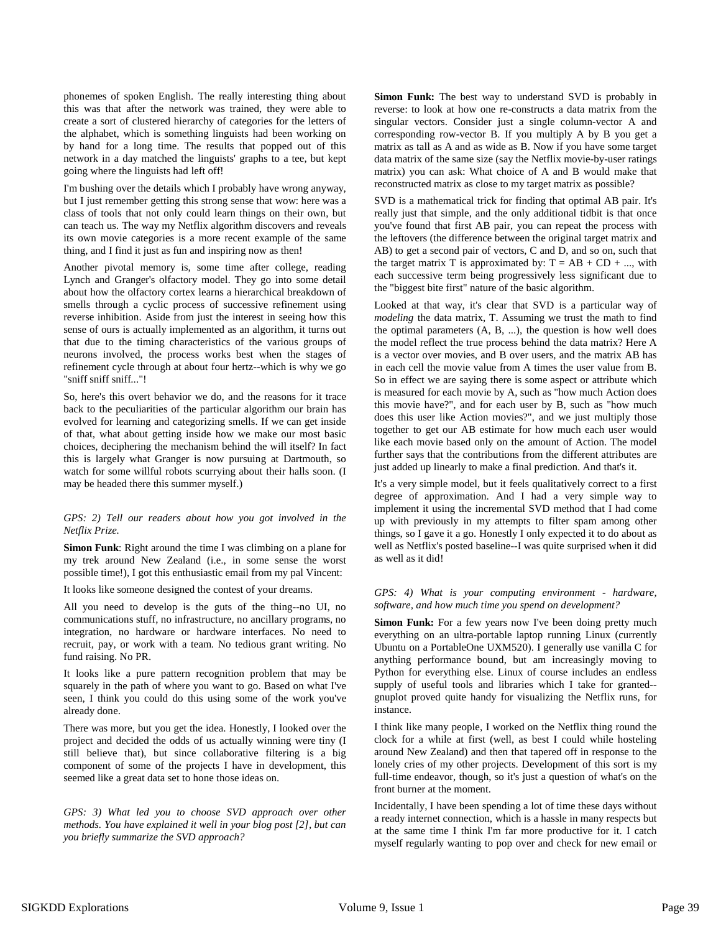phonemes of spoken English. The really interesting thing about this was that after the network was trained, they were able to create a sort of clustered hierarchy of categories for the letters of the alphabet, which is something linguists had been working on by hand for a long time. The results that popped out of this network in a day matched the linguists' graphs to a tee, but kept going where the linguists had left off!

I'm bushing over the details which I probably have wrong anyway, but I just remember getting this strong sense that wow: here was a class of tools that not only could learn things on their own, but can teach us. The way my Netflix algorithm discovers and reveals its own movie categories is a more recent example of the same thing, and I find it just as fun and inspiring now as then!

Another pivotal memory is, some time after college, reading Lynch and Granger's olfactory model. They go into some detail about how the olfactory cortex learns a hierarchical breakdown of smells through a cyclic process of successive refinement using reverse inhibition. Aside from just the interest in seeing how this sense of ours is actually implemented as an algorithm, it turns out that due to the timing characteristics of the various groups of neurons involved, the process works best when the stages of refinement cycle through at about four hertz--which is why we go "sniff sniff sniff..."!

So, here's this overt behavior we do, and the reasons for it trace back to the peculiarities of the particular algorithm our brain has evolved for learning and categorizing smells. If we can get inside of that, what about getting inside how we make our most basic choices, deciphering the mechanism behind the will itself? In fact this is largely what Granger is now pursuing at Dartmouth, so watch for some willful robots scurrying about their halls soon. (I may be headed there this summer myself.)

### *GPS: 2) Tell our readers about how you got involved in the Netflix Prize.*

**Simon Funk**: Right around the time I was climbing on a plane for my trek around New Zealand (i.e., in some sense the worst possible time!), I got this enthusiastic email from my pal Vincent:

It looks like someone designed the contest of your dreams.

All you need to develop is the guts of the thing--no UI, no communications stuff, no infrastructure, no ancillary programs, no integration, no hardware or hardware interfaces. No need to recruit, pay, or work with a team. No tedious grant writing. No fund raising. No PR.

It looks like a pure pattern recognition problem that may be squarely in the path of where you want to go. Based on what I've seen, I think you could do this using some of the work you've already done.

There was more, but you get the idea. Honestly, I looked over the project and decided the odds of us actually winning were tiny (I still believe that), but since collaborative filtering is a big component of some of the projects I have in development, this seemed like a great data set to hone those ideas on.

*GPS: 3) What led you to choose SVD approach over other methods. You have explained it well in your blog post [2], but can you briefly summarize the SVD approach?* 

**Simon Funk:** The best way to understand SVD is probably in reverse: to look at how one re-constructs a data matrix from the singular vectors. Consider just a single column-vector A and corresponding row-vector B. If you multiply A by B you get a matrix as tall as A and as wide as B. Now if you have some target data matrix of the same size (say the Netflix movie-by-user ratings matrix) you can ask: What choice of A and B would make that reconstructed matrix as close to my target matrix as possible?

SVD is a mathematical trick for finding that optimal AB pair. It's really just that simple, and the only additional tidbit is that once you've found that first AB pair, you can repeat the process with the leftovers (the difference between the original target matrix and AB) to get a second pair of vectors, C and D, and so on, such that the target matrix T is approximated by:  $T = AB + CD + ...$ , with each successive term being progressively less significant due to the "biggest bite first" nature of the basic algorithm.

Looked at that way, it's clear that SVD is a particular way of *modeling* the data matrix, T. Assuming we trust the math to find the optimal parameters (A, B, ...), the question is how well does the model reflect the true process behind the data matrix? Here A is a vector over movies, and B over users, and the matrix AB has in each cell the movie value from A times the user value from B. So in effect we are saying there is some aspect or attribute which is measured for each movie by A, such as "how much Action does this movie have?", and for each user by B, such as "how much does this user like Action movies?", and we just multiply those together to get our AB estimate for how much each user would like each movie based only on the amount of Action. The model further says that the contributions from the different attributes are just added up linearly to make a final prediction. And that's it.

It's a very simple model, but it feels qualitatively correct to a first degree of approximation. And I had a very simple way to implement it using the incremental SVD method that I had come up with previously in my attempts to filter spam among other things, so I gave it a go. Honestly I only expected it to do about as well as Netflix's posted baseline--I was quite surprised when it did as well as it did!

### *GPS: 4) What is your computing environment - hardware, software, and how much time you spend on development?*

Simon Funk: For a few years now I've been doing pretty much everything on an ultra-portable laptop running Linux (currently Ubuntu on a PortableOne UXM520). I generally use vanilla C for anything performance bound, but am increasingly moving to Python for everything else. Linux of course includes an endless supply of useful tools and libraries which I take for granted- gnuplot proved quite handy for visualizing the Netflix runs, for instance.

I think like many people, I worked on the Netflix thing round the clock for a while at first (well, as best I could while hosteling around New Zealand) and then that tapered off in response to the lonely cries of my other projects. Development of this sort is my full-time endeavor, though, so it's just a question of what's on the front burner at the moment.

Incidentally, I have been spending a lot of time these days without a ready internet connection, which is a hassle in many respects but at the same time I think I'm far more productive for it. I catch myself regularly wanting to pop over and check for new email or